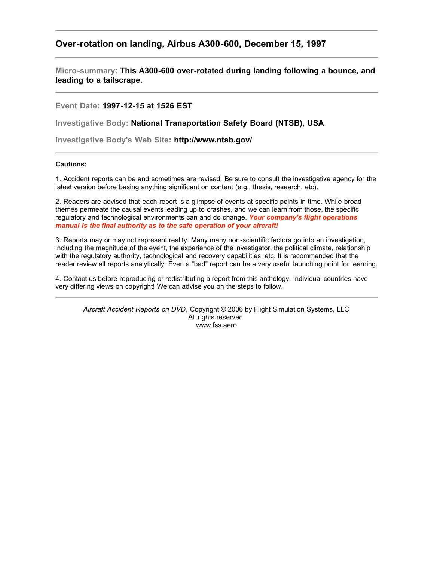## **Over-rotation on landing, Airbus A300-600, December 15, 1997**

**Micro-summary: This A300-600 over-rotated during landing following a bounce, and leading to a tailscrape.**

**Event Date: 1997-12-15 at 1526 EST**

**Investigative Body: National Transportation Safety Board (NTSB), USA**

**Investigative Body's Web Site: http://www.ntsb.gov/**

## **Cautions:**

1. Accident reports can be and sometimes are revised. Be sure to consult the investigative agency for the latest version before basing anything significant on content (e.g., thesis, research, etc).

2. Readers are advised that each report is a glimpse of events at specific points in time. While broad themes permeate the causal events leading up to crashes, and we can learn from those, the specific regulatory and technological environments can and do change. *Your company's flight operations manual is the final authority as to the safe operation of your aircraft!*

3. Reports may or may not represent reality. Many many non-scientific factors go into an investigation, including the magnitude of the event, the experience of the investigator, the political climate, relationship with the regulatory authority, technological and recovery capabilities, etc. It is recommended that the reader review all reports analytically. Even a "bad" report can be a very useful launching point for learning.

4. Contact us before reproducing or redistributing a report from this anthology. Individual countries have very differing views on copyright! We can advise you on the steps to follow.

*Aircraft Accident Reports on DVD*, Copyright © 2006 by Flight Simulation Systems, LLC All rights reserved. www.fss.aero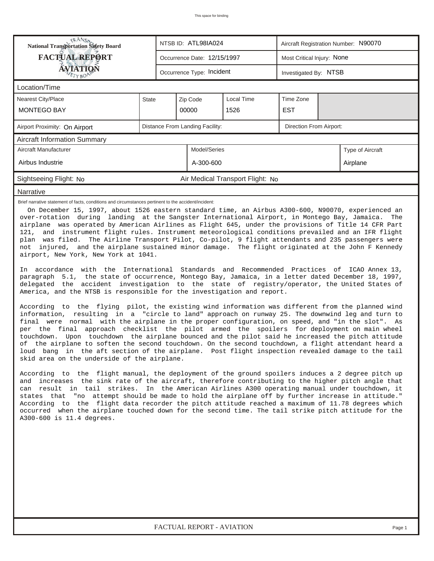| RANS <sub>P</sub>                                                                                                                                                                                                                                                                                                                                                                                                                                                                                                                                                                                                                                                                                                                                                                                                                                                                                                                                                                                                                                                                                                                                                                                                                                                                                                                                                                                                                                                                                                                                                                                                                                                                                                                                                                                                                                                                                                                                                                                                                                                                                                                                                                                                                                                                                                                                                                                                                                                                                                                                                                                   |                             |                           | NTSB ID: ATL98IA024              |                                  | Aircraft Registration Number: N90070 |  |  |  |  |  |
|-----------------------------------------------------------------------------------------------------------------------------------------------------------------------------------------------------------------------------------------------------------------------------------------------------------------------------------------------------------------------------------------------------------------------------------------------------------------------------------------------------------------------------------------------------------------------------------------------------------------------------------------------------------------------------------------------------------------------------------------------------------------------------------------------------------------------------------------------------------------------------------------------------------------------------------------------------------------------------------------------------------------------------------------------------------------------------------------------------------------------------------------------------------------------------------------------------------------------------------------------------------------------------------------------------------------------------------------------------------------------------------------------------------------------------------------------------------------------------------------------------------------------------------------------------------------------------------------------------------------------------------------------------------------------------------------------------------------------------------------------------------------------------------------------------------------------------------------------------------------------------------------------------------------------------------------------------------------------------------------------------------------------------------------------------------------------------------------------------------------------------------------------------------------------------------------------------------------------------------------------------------------------------------------------------------------------------------------------------------------------------------------------------------------------------------------------------------------------------------------------------------------------------------------------------------------------------------------------------|-----------------------------|---------------------------|----------------------------------|----------------------------------|--------------------------------------|--|--|--|--|--|
| <b>FACTUAL REPORT</b>                                                                                                                                                                                                                                                                                                                                                                                                                                                                                                                                                                                                                                                                                                                                                                                                                                                                                                                                                                                                                                                                                                                                                                                                                                                                                                                                                                                                                                                                                                                                                                                                                                                                                                                                                                                                                                                                                                                                                                                                                                                                                                                                                                                                                                                                                                                                                                                                                                                                                                                                                                               | Occurrence Date: 12/15/1997 |                           |                                  |                                  | Most Critical Injury: None           |  |  |  |  |  |
| <b>ÁVIATIQN</b><br>ETYBOP                                                                                                                                                                                                                                                                                                                                                                                                                                                                                                                                                                                                                                                                                                                                                                                                                                                                                                                                                                                                                                                                                                                                                                                                                                                                                                                                                                                                                                                                                                                                                                                                                                                                                                                                                                                                                                                                                                                                                                                                                                                                                                                                                                                                                                                                                                                                                                                                                                                                                                                                                                           |                             | Occurrence Type: Incident |                                  |                                  | Investigated By: NTSB                |  |  |  |  |  |
| Location/Time                                                                                                                                                                                                                                                                                                                                                                                                                                                                                                                                                                                                                                                                                                                                                                                                                                                                                                                                                                                                                                                                                                                                                                                                                                                                                                                                                                                                                                                                                                                                                                                                                                                                                                                                                                                                                                                                                                                                                                                                                                                                                                                                                                                                                                                                                                                                                                                                                                                                                                                                                                                       |                             |                           |                                  |                                  |                                      |  |  |  |  |  |
| Nearest City/Place                                                                                                                                                                                                                                                                                                                                                                                                                                                                                                                                                                                                                                                                                                                                                                                                                                                                                                                                                                                                                                                                                                                                                                                                                                                                                                                                                                                                                                                                                                                                                                                                                                                                                                                                                                                                                                                                                                                                                                                                                                                                                                                                                                                                                                                                                                                                                                                                                                                                                                                                                                                  | <b>State</b>                | Local Time                | Time Zone                        |                                  |                                      |  |  |  |  |  |
| <b>MONTEGO BAY</b>                                                                                                                                                                                                                                                                                                                                                                                                                                                                                                                                                                                                                                                                                                                                                                                                                                                                                                                                                                                                                                                                                                                                                                                                                                                                                                                                                                                                                                                                                                                                                                                                                                                                                                                                                                                                                                                                                                                                                                                                                                                                                                                                                                                                                                                                                                                                                                                                                                                                                                                                                                                  |                             |                           | 00000                            | 1526                             | EST                                  |  |  |  |  |  |
| Distance From Landing Facility:<br>Direction From Airport:<br>Airport Proximity: On Airport                                                                                                                                                                                                                                                                                                                                                                                                                                                                                                                                                                                                                                                                                                                                                                                                                                                                                                                                                                                                                                                                                                                                                                                                                                                                                                                                                                                                                                                                                                                                                                                                                                                                                                                                                                                                                                                                                                                                                                                                                                                                                                                                                                                                                                                                                                                                                                                                                                                                                                         |                             |                           |                                  |                                  |                                      |  |  |  |  |  |
| <b>Aircraft Information Summary</b>                                                                                                                                                                                                                                                                                                                                                                                                                                                                                                                                                                                                                                                                                                                                                                                                                                                                                                                                                                                                                                                                                                                                                                                                                                                                                                                                                                                                                                                                                                                                                                                                                                                                                                                                                                                                                                                                                                                                                                                                                                                                                                                                                                                                                                                                                                                                                                                                                                                                                                                                                                 |                             |                           |                                  |                                  |                                      |  |  |  |  |  |
| Aircraft Manufacturer                                                                                                                                                                                                                                                                                                                                                                                                                                                                                                                                                                                                                                                                                                                                                                                                                                                                                                                                                                                                                                                                                                                                                                                                                                                                                                                                                                                                                                                                                                                                                                                                                                                                                                                                                                                                                                                                                                                                                                                                                                                                                                                                                                                                                                                                                                                                                                                                                                                                                                                                                                               |                             |                           | Model/Series<br>Type of Aircraft |                                  |                                      |  |  |  |  |  |
| Airbus Industrie                                                                                                                                                                                                                                                                                                                                                                                                                                                                                                                                                                                                                                                                                                                                                                                                                                                                                                                                                                                                                                                                                                                                                                                                                                                                                                                                                                                                                                                                                                                                                                                                                                                                                                                                                                                                                                                                                                                                                                                                                                                                                                                                                                                                                                                                                                                                                                                                                                                                                                                                                                                    |                             |                           | A-300-600<br>Airplane            |                                  |                                      |  |  |  |  |  |
| Sightseeing Flight: No                                                                                                                                                                                                                                                                                                                                                                                                                                                                                                                                                                                                                                                                                                                                                                                                                                                                                                                                                                                                                                                                                                                                                                                                                                                                                                                                                                                                                                                                                                                                                                                                                                                                                                                                                                                                                                                                                                                                                                                                                                                                                                                                                                                                                                                                                                                                                                                                                                                                                                                                                                              |                             |                           |                                  | Air Medical Transport Flight: No |                                      |  |  |  |  |  |
| Narrative                                                                                                                                                                                                                                                                                                                                                                                                                                                                                                                                                                                                                                                                                                                                                                                                                                                                                                                                                                                                                                                                                                                                                                                                                                                                                                                                                                                                                                                                                                                                                                                                                                                                                                                                                                                                                                                                                                                                                                                                                                                                                                                                                                                                                                                                                                                                                                                                                                                                                                                                                                                           |                             |                           |                                  |                                  |                                      |  |  |  |  |  |
| Brief narrative statement of facts, conditions and circumstances pertinent to the accident/incident:<br>On December 15, 1997, about 1526 eastern standard time, an Airbus A300-600, N90070, experienced an<br>over-rotation during landing at the Sangster International Airport, in Montego Bay, Jamaica. The<br>airplane was operated by American Airlines as Flight 645, under the provisions of Title 14 CFR Part<br>121, and instrument flight rules. Instrument meteorological conditions prevailed and an IFR flight<br>plan was filed. The Airline Transport Pilot, Co-pilot, 9 flight attendants and 235 passengers were<br>not injured, and the airplane sustained minor damage. The flight originated at the John F Kennedy<br>airport, New York, New York at 1041.<br>In accordance with the International Standards and Recommended Practices of ICAO Annex 13,<br>paragraph 5.1, the state of occurrence, Montego Bay, Jamaica, in a letter dated December 18, 1997,<br>delegated the accident investigation to the state of registry/operator, the United States of<br>America, and the NTSB is responsible for the investigation and report.<br>According to the flying pilot, the existing wind information was different from the planned wind<br>information, resulting in a "circle to land" approach on runway 25. The downwind leg and turn to<br>final were normal with the airplane in the proper configuration, on speed, and "in the slot". As<br>per the final approach checklist the pilot armed the spoilers for deployment on main wheel<br>Upon touchdown the airplane bounced and the pilot said he increased the pitch attitude<br>touchdown.<br>of the airplane to soften the second touchdown. On the second touchdown, a flight attendant heard a<br>loud bang in the aft section of the airplane. Post flight inspection revealed damage to the tail<br>skid area on the underside of the airplane.<br>According to the flight manual, the deployment of the ground spoilers induces a 2 degree pitch up<br>and increases the sink rate of the aircraft, therefore contributing to the higher pitch angle that<br>can result in tail strikes. In the American Airlines A300 operating manual under touchdown, it<br>states that "no attempt should be made to hold the airplane off by further increase in attitude."<br>According to the flight data recorder the pitch attitude reached a maximum of 11.78 degrees which<br>occurred when the airplane touched down for the second time. The tail strike pitch attitude for the<br>A300-600 is 11.4 degrees. |                             |                           |                                  |                                  |                                      |  |  |  |  |  |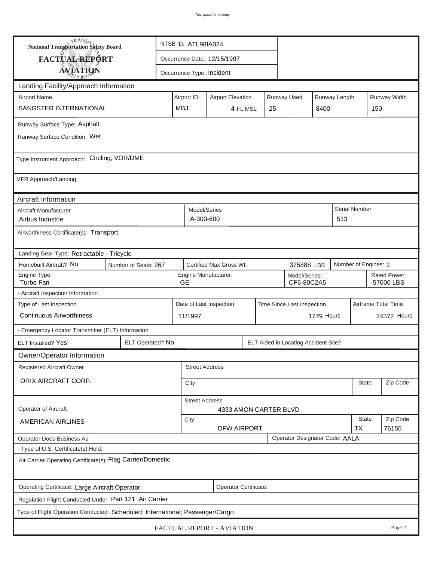| <b>National Transportation Safety Board</b>                             |                                                                               | NTSB ID: ATL98IA024                                      |                                                |    |  |                                       |  |                           |                      |             |
|-------------------------------------------------------------------------|-------------------------------------------------------------------------------|----------------------------------------------------------|------------------------------------------------|----|--|---------------------------------------|--|---------------------------|----------------------|-------------|
| FACTUAL REPORT                                                          |                                                                               |                                                          | Occurrence Date: 12/15/1997                    |    |  |                                       |  |                           |                      |             |
| <b>AVIATION</b>                                                         |                                                                               |                                                          | Occurrence Type: Incident                      |    |  |                                       |  |                           |                      |             |
| Landing Facility/Approach Information                                   |                                                                               |                                                          |                                                |    |  |                                       |  |                           |                      |             |
| <b>Airport Name</b>                                                     | Airport ID:                                                                   | Runway Used<br>Runway Length<br><b>Airport Elevation</b> |                                                |    |  |                                       |  |                           | Runway Width         |             |
| SANGSTER INTERNATIONAL                                                  | <b>MBJ</b>                                                                    |                                                          | 4 Ft. MSL                                      | 25 |  | 8400                                  |  | 150                       |                      |             |
| Runway Surface Type: Asphalt                                            |                                                                               |                                                          |                                                |    |  |                                       |  |                           |                      |             |
| Runway Surface Condition: Wet                                           |                                                                               |                                                          |                                                |    |  |                                       |  |                           |                      |             |
| Type Instrument Approach: Circling; VOR/DME                             |                                                                               |                                                          |                                                |    |  |                                       |  |                           |                      |             |
| VFR Approach/Landing:                                                   |                                                                               |                                                          |                                                |    |  |                                       |  |                           |                      |             |
| Aircraft Information                                                    |                                                                               |                                                          |                                                |    |  |                                       |  |                           |                      |             |
| Aircraft Manufacturer<br>Airbus Industrie                               |                                                                               |                                                          | Model/Series<br>A-300-600                      |    |  |                                       |  | 513                       | Serial Number        |             |
| Airworthiness Certificate(s): Transport                                 |                                                                               |                                                          |                                                |    |  |                                       |  |                           |                      |             |
| Landing Gear Type: Retractable - Tricycle                               |                                                                               |                                                          |                                                |    |  |                                       |  |                           |                      |             |
| Homebuilt Aircraft? No                                                  | Number of Seats: 267                                                          |                                                          | Certified Max Gross Wt.                        |    |  | 375888 LBS                            |  |                           | Number of Engines: 2 |             |
| Engine Type:<br>Turbo Fan                                               | <b>GE</b>                                                                     | Engine Manufacturer:<br>Model/Series:<br>CF6-80C2A5      |                                                |    |  |                                       |  | Rated Power:<br>57000 LBS |                      |             |
| - Aircraft Inspection Information                                       |                                                                               |                                                          |                                                |    |  |                                       |  |                           |                      |             |
| Type of Last Inspection                                                 |                                                                               |                                                          | Date of Last Inspection                        |    |  | Time Since Last Inspection            |  |                           | Airframe Total Time  |             |
| <b>Continuous Airworthiness</b>                                         |                                                                               | 11/1997                                                  | 1779 Hours                                     |    |  |                                       |  |                           |                      | 24372 Hours |
| - Emergency Locator Transmitter (ELT) Information                       |                                                                               |                                                          |                                                |    |  |                                       |  |                           |                      |             |
| <b>ELT Installed? Yes</b>                                               | ELT Operated? No                                                              |                                                          |                                                |    |  | ELT Aided in Locating Accident Site?  |  |                           |                      |             |
| Owner/Operator Information                                              |                                                                               |                                                          |                                                |    |  |                                       |  |                           |                      |             |
| Registered Aircraft Owner                                               |                                                                               |                                                          | <b>Street Address</b>                          |    |  |                                       |  |                           |                      |             |
| ORIX AIRCRAFT CORP.                                                     |                                                                               | City                                                     | <b>State</b>                                   |    |  |                                       |  |                           |                      | Zip Code    |
| Operator of Aircraft                                                    |                                                                               |                                                          | <b>Street Address</b><br>4333 AMON CARTER BLVD |    |  |                                       |  |                           |                      |             |
| <b>AMERICAN AIRLINES</b>                                                | City<br><b>DFW AIRPORT</b>                                                    |                                                          |                                                |    |  |                                       |  | State<br><b>TX</b>        | Zip Code<br>76155    |             |
| <b>Operator Does Business As:</b>                                       |                                                                               |                                                          |                                                |    |  | <b>Operator Designator Code: AALA</b> |  |                           |                      |             |
| - Type of U.S. Certificate(s) Held:                                     |                                                                               |                                                          |                                                |    |  |                                       |  |                           |                      |             |
| Air Carrier Operating Certificate(s): Flag Carrier/Domestic             |                                                                               |                                                          |                                                |    |  |                                       |  |                           |                      |             |
| Operating Certificate: Large Aircraft Operator<br>Operator Certificate: |                                                                               |                                                          |                                                |    |  |                                       |  |                           |                      |             |
| Regulation Flight Conducted Under: Part 121: Air Carrier                |                                                                               |                                                          |                                                |    |  |                                       |  |                           |                      |             |
|                                                                         | Type of Flight Operation Conducted: Scheduled; International; Passenger/Cargo |                                                          |                                                |    |  |                                       |  |                           |                      |             |
| FACTUAL REPORT - AVIATION<br>Page 2                                     |                                                                               |                                                          |                                                |    |  |                                       |  |                           |                      |             |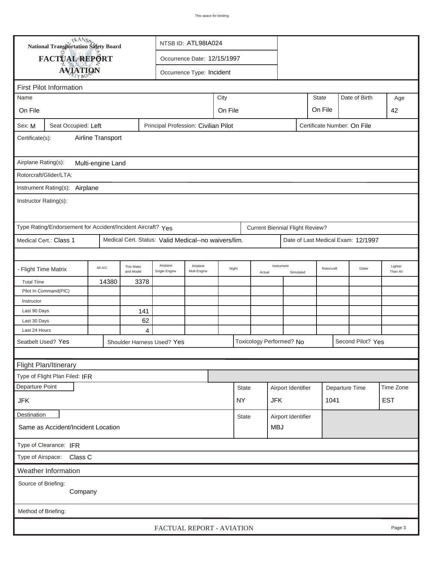| <b>National Transportation Safety Board</b>                                                          |                                                             |                                                                                                              |      |                                                      | NTSB ID: ATL98IA024         |            |              |        |                                        |                    |                |  |                                    |            |
|------------------------------------------------------------------------------------------------------|-------------------------------------------------------------|--------------------------------------------------------------------------------------------------------------|------|------------------------------------------------------|-----------------------------|------------|--------------|--------|----------------------------------------|--------------------|----------------|--|------------------------------------|------------|
| FACTUAL REPORT                                                                                       |                                                             |                                                                                                              |      |                                                      | Occurrence Date: 12/15/1997 |            |              |        |                                        |                    |                |  |                                    |            |
|                                                                                                      | <b>AVIATION</b>                                             |                                                                                                              |      |                                                      | Occurrence Type: Incident   |            |              |        |                                        |                    |                |  |                                    |            |
|                                                                                                      |                                                             |                                                                                                              |      |                                                      |                             |            |              |        |                                        |                    |                |  |                                    |            |
| <b>First Pilot Information</b><br><b>State</b><br>Date of Birth                                      |                                                             |                                                                                                              |      |                                                      |                             |            |              |        |                                        |                    |                |  |                                    |            |
| City<br>Name                                                                                         |                                                             |                                                                                                              |      |                                                      |                             |            |              |        |                                        |                    |                |  |                                    | Age        |
| On File                                                                                              |                                                             | On File<br>On File                                                                                           |      |                                                      |                             |            |              |        |                                        |                    |                |  | 42                                 |            |
| Principal Profession: Civilian Pilot<br>Certificate Number: On File<br>Seat Occupied: Left<br>Sex: M |                                                             |                                                                                                              |      |                                                      |                             |            |              |        |                                        |                    |                |  |                                    |            |
| Airline Transport<br>Certificate(s):                                                                 |                                                             |                                                                                                              |      |                                                      |                             |            |              |        |                                        |                    |                |  |                                    |            |
| Airplane Rating(s):<br>Multi-engine Land                                                             |                                                             |                                                                                                              |      |                                                      |                             |            |              |        |                                        |                    |                |  |                                    |            |
|                                                                                                      | Rotorcraft/Glider/LTA:                                      |                                                                                                              |      |                                                      |                             |            |              |        |                                        |                    |                |  |                                    |            |
|                                                                                                      |                                                             |                                                                                                              |      |                                                      |                             |            |              |        |                                        |                    |                |  |                                    |            |
| Instrument Rating(s): Airplane<br>Instructor Rating(s):                                              |                                                             |                                                                                                              |      |                                                      |                             |            |              |        |                                        |                    |                |  |                                    |            |
|                                                                                                      | Type Rating/Endorsement for Accident/Incident Aircraft? Yes |                                                                                                              |      |                                                      |                             |            |              |        | <b>Current Biennial Flight Review?</b> |                    |                |  |                                    |            |
|                                                                                                      | Medical Cert.: Class 1                                      |                                                                                                              |      | Medical Cert. Status: Valid Medical--no waivers/lim. |                             |            |              |        |                                        |                    |                |  | Date of Last Medical Exam: 12/1997 |            |
|                                                                                                      |                                                             |                                                                                                              |      |                                                      |                             |            |              |        |                                        |                    |                |  |                                    |            |
| - Flight Time Matrix                                                                                 |                                                             | Airplane<br>Airplane<br>This Make<br>All A/C<br>Night<br>Mult-Engine<br>and Model<br>Single Engine<br>Actual |      | Instrument                                           | Simulated                   | Rotorcraft |              | Glider | Lighter<br>Than Air                    |                    |                |  |                                    |            |
| <b>Total Time</b>                                                                                    |                                                             | 14380                                                                                                        | 3378 |                                                      |                             |            |              |        |                                        |                    |                |  |                                    |            |
|                                                                                                      | Pilot In Command(PIC)                                       |                                                                                                              |      |                                                      |                             |            |              |        |                                        |                    |                |  |                                    |            |
| Instructor                                                                                           |                                                             |                                                                                                              |      |                                                      |                             |            |              |        |                                        |                    |                |  |                                    |            |
| Last 90 Days                                                                                         |                                                             |                                                                                                              | 141  |                                                      |                             |            |              |        |                                        |                    |                |  |                                    |            |
| Last 30 Days                                                                                         |                                                             |                                                                                                              | 62   |                                                      |                             |            |              |        |                                        |                    |                |  |                                    |            |
| Last 24 Hours                                                                                        |                                                             |                                                                                                              | 4    |                                                      |                             |            |              |        |                                        |                    |                |  |                                    |            |
|                                                                                                      | Seatbelt Used? Yes                                          |                                                                                                              |      | Shoulder Harness Used? Yes                           |                             |            |              |        | Toxicology Performed? No               |                    |                |  | Second Pilot? Yes                  |            |
|                                                                                                      |                                                             |                                                                                                              |      |                                                      |                             |            |              |        |                                        |                    |                |  |                                    |            |
|                                                                                                      | Flight Plan/Itinerary                                       |                                                                                                              |      |                                                      |                             |            |              |        |                                        |                    |                |  |                                    |            |
|                                                                                                      | Type of Flight Plan Filed: IFR                              |                                                                                                              |      |                                                      |                             |            |              |        |                                        |                    |                |  |                                    |            |
| Departure Point                                                                                      |                                                             |                                                                                                              |      |                                                      |                             |            | <b>State</b> |        | Airport Identifier                     |                    | Departure Time |  |                                    | Time Zone  |
| <b>JFK</b>                                                                                           |                                                             |                                                                                                              |      |                                                      |                             |            | <b>NY</b>    |        | <b>JFK</b>                             | 1041               |                |  |                                    | <b>EST</b> |
| Destination                                                                                          |                                                             |                                                                                                              |      |                                                      |                             |            | State        |        |                                        | Airport Identifier |                |  |                                    |            |
| Same as Accident/Incident Location                                                                   |                                                             |                                                                                                              |      |                                                      |                             |            |              |        | <b>MBJ</b>                             |                    |                |  |                                    |            |
| Type of Clearance: IFR                                                                               |                                                             |                                                                                                              |      |                                                      |                             |            |              |        |                                        |                    |                |  |                                    |            |
| Type of Airspace: Class C                                                                            |                                                             |                                                                                                              |      |                                                      |                             |            |              |        |                                        |                    |                |  |                                    |            |
|                                                                                                      | Weather Information                                         |                                                                                                              |      |                                                      |                             |            |              |        |                                        |                    |                |  |                                    |            |
| Source of Briefing:<br>Company                                                                       |                                                             |                                                                                                              |      |                                                      |                             |            |              |        |                                        |                    |                |  |                                    |            |
| Method of Briefing:                                                                                  |                                                             |                                                                                                              |      |                                                      |                             |            |              |        |                                        |                    |                |  |                                    |            |
|                                                                                                      |                                                             |                                                                                                              |      | FACTUAL REPORT - AVIATION                            |                             |            |              |        |                                        |                    |                |  |                                    | Page 3     |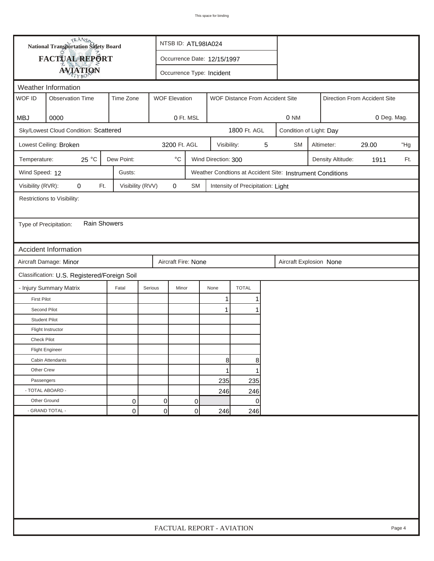| <b>National Transportation Safety Board</b>                                                               |                                              |                  |                       | NTSB ID: ATL98IA024                                             |      |                                   |  |                         |                         |                            |                              |     |  |
|-----------------------------------------------------------------------------------------------------------|----------------------------------------------|------------------|-----------------------|-----------------------------------------------------------------|------|-----------------------------------|--|-------------------------|-------------------------|----------------------------|------------------------------|-----|--|
| FACTUAL REPORT                                                                                            |                                              |                  |                       | Occurrence Date: 12/15/1997                                     |      |                                   |  |                         |                         |                            |                              |     |  |
| <b>AVIATION</b>                                                                                           |                                              |                  |                       |                                                                 |      |                                   |  |                         |                         |                            |                              |     |  |
| Occurrence Type: Incident<br>Weather Information                                                          |                                              |                  |                       |                                                                 |      |                                   |  |                         |                         |                            |                              |     |  |
| WOF ID<br><b>Observation Time</b><br>Time Zone<br><b>WOF Elevation</b><br>WOF Distance From Accident Site |                                              |                  |                       |                                                                 |      |                                   |  |                         |                         |                            | Direction From Accident Site |     |  |
|                                                                                                           |                                              |                  |                       |                                                                 |      |                                   |  |                         |                         |                            |                              |     |  |
| MBJ                                                                                                       | 0000<br>0 Ft. MSL<br>0 NM                    |                  |                       |                                                                 |      |                                   |  |                         |                         |                            | 0 Deg. Mag.                  |     |  |
|                                                                                                           | Sky/Lowest Cloud Condition: Scattered        |                  |                       |                                                                 |      | 1800 Ft. AGL                      |  |                         | Condition of Light: Day |                            |                              |     |  |
|                                                                                                           | Lowest Ceiling: Broken                       |                  |                       | 3200 Ft. AGL<br>5<br><b>SM</b><br>Visibility:                   |      |                                   |  |                         |                         | Altimeter:<br>29.00<br>"Hg |                              |     |  |
| Temperature:                                                                                              | 25 °C                                        | Dew Point:       |                       | $^{\circ} \text{C}$<br>Wind Direction: 300<br>Density Altitude: |      |                                   |  |                         |                         |                            | 1911                         | Ft. |  |
| Wind Speed: 12                                                                                            |                                              | Gusts:           |                       | Weather Condtions at Accident Site: Instrument Conditions       |      |                                   |  |                         |                         |                            |                              |     |  |
| Visibility (RVR):                                                                                         | 0<br>Ft.                                     | Visibility (RVV) | $\mathbf 0$           | SM                                                              |      | Intensity of Precipitation: Light |  |                         |                         |                            |                              |     |  |
|                                                                                                           | Restrictions to Visibility:                  |                  |                       |                                                                 |      |                                   |  |                         |                         |                            |                              |     |  |
|                                                                                                           |                                              |                  |                       |                                                                 |      |                                   |  |                         |                         |                            |                              |     |  |
| Type of Precipitation:                                                                                    | <b>Rain Showers</b>                          |                  |                       |                                                                 |      |                                   |  |                         |                         |                            |                              |     |  |
|                                                                                                           |                                              |                  |                       |                                                                 |      |                                   |  |                         |                         |                            |                              |     |  |
|                                                                                                           | Accident Information                         |                  |                       |                                                                 |      |                                   |  |                         |                         |                            |                              |     |  |
|                                                                                                           | Aircraft Damage: Minor                       |                  |                       | Aircraft Fire: None                                             |      |                                   |  | Aircraft Explosion None |                         |                            |                              |     |  |
|                                                                                                           | Classification: U.S. Registered/Foreign Soil |                  |                       |                                                                 |      |                                   |  |                         |                         |                            |                              |     |  |
|                                                                                                           | - Injury Summary Matrix                      | Fatal            | Serious               | Minor                                                           | None | <b>TOTAL</b>                      |  |                         |                         |                            |                              |     |  |
| <b>First Pilot</b>                                                                                        |                                              |                  |                       |                                                                 | 1    | 1                                 |  |                         |                         |                            |                              |     |  |
| Second Pilot                                                                                              |                                              |                  |                       |                                                                 | 1    | 1                                 |  |                         |                         |                            |                              |     |  |
| <b>Student Pilot</b>                                                                                      |                                              |                  |                       |                                                                 |      |                                   |  |                         |                         |                            |                              |     |  |
|                                                                                                           | Flight Instructor                            |                  |                       |                                                                 |      |                                   |  |                         |                         |                            |                              |     |  |
| <b>Check Pilot</b>                                                                                        |                                              |                  |                       |                                                                 |      |                                   |  |                         |                         |                            |                              |     |  |
|                                                                                                           | <b>Flight Engineer</b>                       |                  |                       |                                                                 |      |                                   |  |                         |                         |                            |                              |     |  |
|                                                                                                           | Cabin Attendants                             |                  |                       |                                                                 | 8    | 8                                 |  |                         |                         |                            |                              |     |  |
| Other Crew                                                                                                |                                              |                  |                       |                                                                 | 1    | 1                                 |  |                         |                         |                            |                              |     |  |
| Passengers                                                                                                |                                              |                  |                       |                                                                 | 235  | 235                               |  |                         |                         |                            |                              |     |  |
| - TOTAL ABOARD -                                                                                          |                                              |                  |                       |                                                                 | 246  | 246                               |  |                         |                         |                            |                              |     |  |
| Other Ground                                                                                              |                                              | 0                | $\Omega$              | 0                                                               |      | 0                                 |  |                         |                         |                            |                              |     |  |
|                                                                                                           | - GRAND TOTAL -                              | 0                | 0 <br>0<br>246<br>246 |                                                                 |      |                                   |  |                         |                         |                            |                              |     |  |
|                                                                                                           |                                              |                  |                       |                                                                 |      |                                   |  |                         |                         |                            |                              |     |  |
| FACTUAL REPORT - AVIATION                                                                                 |                                              |                  |                       |                                                                 |      |                                   |  |                         |                         | Page 4                     |                              |     |  |